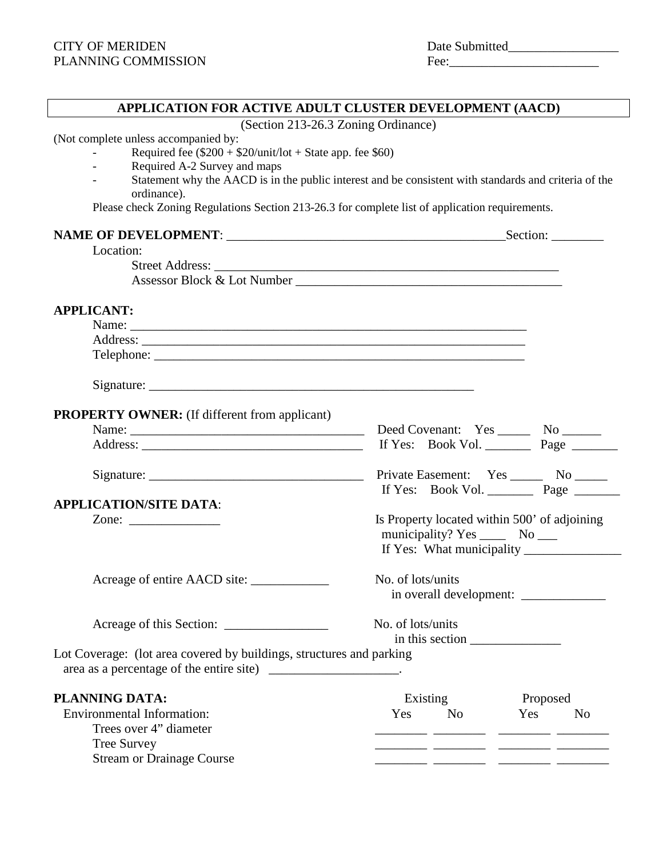| Date Submitted |
|----------------|
| Fee:           |

| APPLICATION FOR ACTIVE ADULT CLUSTER DEVELOPMENT (AACD)                                                                               |                                              |                                 |  |
|---------------------------------------------------------------------------------------------------------------------------------------|----------------------------------------------|---------------------------------|--|
| (Section 213-26.3 Zoning Ordinance)                                                                                                   |                                              |                                 |  |
| (Not complete unless accompanied by:                                                                                                  |                                              |                                 |  |
| Required fee $(\$200 + \$20/unit/lot + \text{State app.}$ fee $\$60)$                                                                 |                                              |                                 |  |
| Required A-2 Survey and maps<br>Statement why the AACD is in the public interest and be consistent with standards and criteria of the |                                              |                                 |  |
| ordinance).                                                                                                                           |                                              |                                 |  |
| Please check Zoning Regulations Section 213-26.3 for complete list of application requirements.                                       |                                              |                                 |  |
|                                                                                                                                       |                                              |                                 |  |
| Location:                                                                                                                             |                                              |                                 |  |
|                                                                                                                                       |                                              |                                 |  |
| Assessor Block & Lot Number                                                                                                           |                                              |                                 |  |
| <b>APPLICANT:</b>                                                                                                                     |                                              |                                 |  |
|                                                                                                                                       |                                              |                                 |  |
|                                                                                                                                       |                                              |                                 |  |
|                                                                                                                                       |                                              |                                 |  |
|                                                                                                                                       |                                              |                                 |  |
| <b>PROPERTY OWNER:</b> (If different from applicant)                                                                                  |                                              |                                 |  |
|                                                                                                                                       |                                              |                                 |  |
|                                                                                                                                       |                                              |                                 |  |
|                                                                                                                                       |                                              |                                 |  |
|                                                                                                                                       | Private Easement: Yes _______ No ______      |                                 |  |
|                                                                                                                                       |                                              | If Yes: Book Vol. Page ________ |  |
| <b>APPLICATION/SITE DATA:</b>                                                                                                         |                                              |                                 |  |
|                                                                                                                                       | Is Property located within 500' of adjoining |                                 |  |
|                                                                                                                                       |                                              |                                 |  |
|                                                                                                                                       |                                              |                                 |  |
| Acreage of entire AACD site:                                                                                                          | No. of lots/units                            |                                 |  |
|                                                                                                                                       |                                              |                                 |  |
|                                                                                                                                       |                                              |                                 |  |
|                                                                                                                                       | No. of lots/units                            |                                 |  |
|                                                                                                                                       | in this section                              |                                 |  |
| Lot Coverage: (lot area covered by buildings, structures and parking                                                                  |                                              |                                 |  |
| area as a percentage of the entire site) _________________________.                                                                   |                                              |                                 |  |
| PLANNING DATA:                                                                                                                        | Existing                                     | Proposed                        |  |
| <b>Environmental Information:</b>                                                                                                     | No No<br>Yes                                 | Yes<br>N <sub>0</sub>           |  |
| Trees over 4" diameter                                                                                                                |                                              |                                 |  |
| <b>Tree Survey</b>                                                                                                                    |                                              |                                 |  |
| <b>Stream or Drainage Course</b>                                                                                                      |                                              |                                 |  |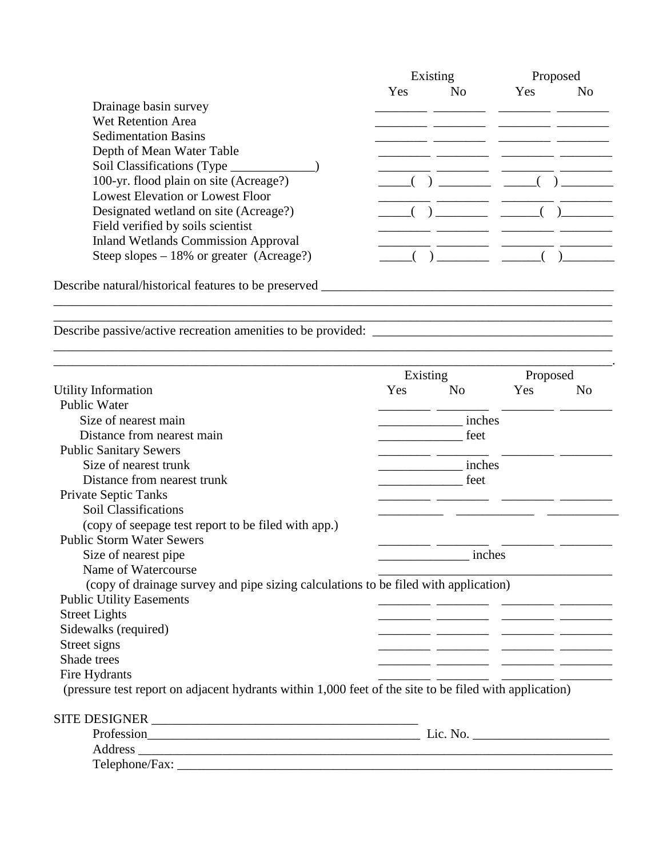|                                                                                                        | Existing |                | Proposed |                |  |
|--------------------------------------------------------------------------------------------------------|----------|----------------|----------|----------------|--|
|                                                                                                        | Yes      | No.            | Yes      | N <sub>0</sub> |  |
| Drainage basin survey                                                                                  |          |                |          |                |  |
| <b>Wet Retention Area</b>                                                                              |          |                |          |                |  |
| <b>Sedimentation Basins</b>                                                                            |          |                |          |                |  |
| Depth of Mean Water Table                                                                              |          |                |          |                |  |
| Soil Classifications (Type                                                                             |          |                |          |                |  |
| 100-yr. flood plain on site (Acreage?)                                                                 |          |                |          |                |  |
| <b>Lowest Elevation or Lowest Floor</b>                                                                |          |                |          |                |  |
| Designated wetland on site (Acreage?)                                                                  |          |                |          |                |  |
| Field verified by soils scientist                                                                      |          |                |          |                |  |
| <b>Inland Wetlands Commission Approval</b>                                                             |          |                |          |                |  |
| Steep slopes $-18\%$ or greater (Acreage?)                                                             |          |                |          |                |  |
|                                                                                                        |          |                |          |                |  |
|                                                                                                        |          |                |          |                |  |
|                                                                                                        |          |                |          |                |  |
|                                                                                                        |          |                |          |                |  |
|                                                                                                        |          | Existing       |          | Proposed       |  |
| Utility Information                                                                                    | Yes      | N <sub>0</sub> | Yes      | N <sub>0</sub> |  |
| <b>Public Water</b>                                                                                    |          |                |          |                |  |
| Size of nearest main                                                                                   |          | inches         |          |                |  |
| Distance from nearest main                                                                             |          | feet           |          |                |  |
| <b>Public Sanitary Sewers</b>                                                                          |          |                |          |                |  |
| Size of nearest trunk                                                                                  |          | inches         |          |                |  |
| Distance from nearest trunk                                                                            |          | feet           |          |                |  |
| <b>Private Septic Tanks</b>                                                                            |          |                |          |                |  |
| <b>Soil Classifications</b>                                                                            |          |                |          |                |  |
| (copy of seepage test report to be filed with app.)                                                    |          |                |          |                |  |
| <b>Public Storm Water Sewers</b>                                                                       |          |                |          |                |  |
| Size of nearest pipe                                                                                   |          | inches         |          |                |  |
| Name of Watercourse                                                                                    |          |                |          |                |  |
| (copy of drainage survey and pipe sizing calculations to be filed with application)                    |          |                |          |                |  |
| <b>Public Utility Easements</b>                                                                        |          |                |          |                |  |
| <b>Street Lights</b>                                                                                   |          |                |          |                |  |
| Sidewalks (required)                                                                                   |          |                |          |                |  |
| Street signs                                                                                           |          |                |          |                |  |
| Shade trees                                                                                            |          |                |          |                |  |
| Fire Hydrants                                                                                          |          |                |          |                |  |
| (pressure test report on adjacent hydrants within 1,000 feet of the site to be filed with application) |          |                |          |                |  |
|                                                                                                        |          |                |          |                |  |
|                                                                                                        |          |                |          |                |  |
|                                                                                                        |          |                |          |                |  |
|                                                                                                        |          |                |          |                |  |
|                                                                                                        |          |                |          |                |  |
|                                                                                                        |          |                |          |                |  |